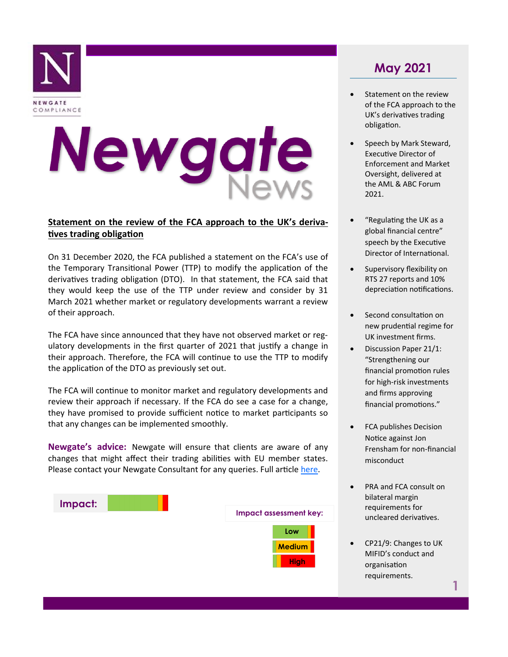

# Newgate

# **Statement on the review of the FCA approach to the UK's derivatives trading obligation**

On 31 December 2020, the FCA published a statement on the FCA's use of the Temporary Transitional Power (TTP) to modify the application of the derivatives trading obligation (DTO). In that statement, the FCA said that they would keep the use of the TTP under review and consider by 31 March 2021 whether market or regulatory developments warrant a review of their approach.

The FCA have since announced that they have not observed market or regulatory developments in the first quarter of 2021 that justify a change in their approach. Therefore, the FCA will continue to use the TTP to modify the application of the DTO as previously set out.

The FCA will continue to monitor market and regulatory developments and review their approach if necessary. If the FCA do see a case for a change, they have promised to provide sufficient notice to market participants so that any changes can be implemented smoothly.

**Newgate's advice:** Newgate will ensure that clients are aware of any changes that might affect their trading abilities with EU member states. Please contact your Newgate Consultant for any queries. Full article [here.](https://www.fca.org.uk/news/statements/review-fca-approach-uks-derivatives-trading-obligation)



# **May 2021**

- Statement on the review of the FCA approach to the UK's derivatives trading obligation.
- Speech by Mark Steward, Executive Director of Enforcement and Market Oversight, delivered at the AML & ABC Forum 2021.
- "Regulating the UK as a global financial centre" speech by the Executive Director of International.
- Supervisory flexibility on RTS 27 reports and 10% depreciation notifications.
- Second consultation on new prudential regime for UK investment firms.
- Discussion Paper 21/1: "Strengthening our financial promotion rules for high-risk investments and firms approving financial promotions."
- FCA publishes Decision Notice against Jon Frensham for non-financial misconduct
- PRA and FCA consult on bilateral margin requirements for uncleared derivatives.
- CP21/9: Changes to UK MIFID's conduct and organisation requirements.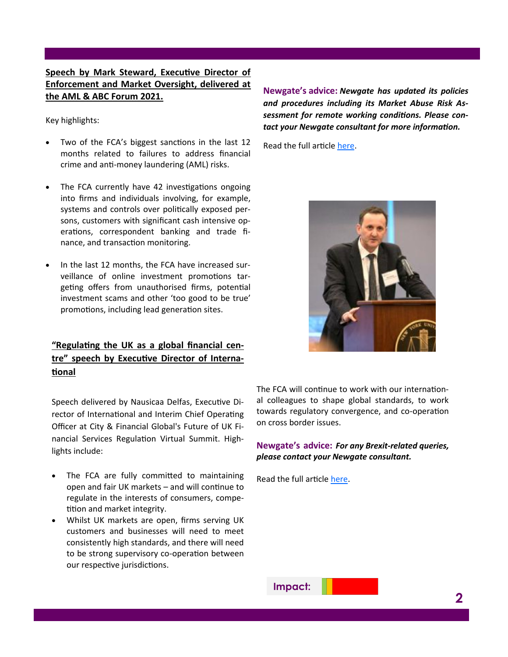# **Speech by Mark Steward, Executive Director of Enforcement and Market Oversight, delivered at the AML & ABC Forum 2021.**

Key highlights:

- Two of the FCA's biggest sanctions in the last 12 months related to failures to address financial crime and anti-money laundering (AML) risks.
- The FCA currently have 42 investigations ongoing into firms and individuals involving, for example, systems and controls over politically exposed persons, customers with significant cash intensive operations, correspondent banking and trade finance, and transaction monitoring.
- In the last 12 months, the FCA have increased surveillance of online investment promotions targeting offers from unauthorised firms, potential investment scams and other 'too good to be true' promotions, including lead generation sites.

# **"Regulating the UK as a global financial centre" speech by Executive Director of International**

Speech delivered by Nausicaa Delfas, Executive Director of International and Interim Chief Operating Officer at City & Financial Global's Future of UK Financial Services Regulation Virtual Summit. Highlights include:

- The FCA are fully committed to maintaining open and fair UK markets – and will continue to regulate in the interests of consumers, competition and market integrity.
- Whilst UK markets are open, firms serving UK customers and businesses will need to meet consistently high standards, and there will need to be strong supervisory co-operation between our respective jurisdictions.

**Newgate's advice:** *Newgate has updated its policies and procedures including its Market Abuse Risk Assessment for remote working conditions. Please contact your Newgate consultant for more information.* 

Read the full article [here.](https://www.fca.org.uk/news/speeches/importance-purposeful-anti-money-laundering-controls)



The FCA will continue to work with our international colleagues to shape global standards, to work towards regulatory convergence, and co-operation on cross border issues.

**Newgate's advice:** *For any Brexit-related queries, please contact your Newgate consultant.* 

Read the full article [here.](https://www.fca.org.uk/news/speeches/regulating-uk-global-financial-centre)

**Impact:**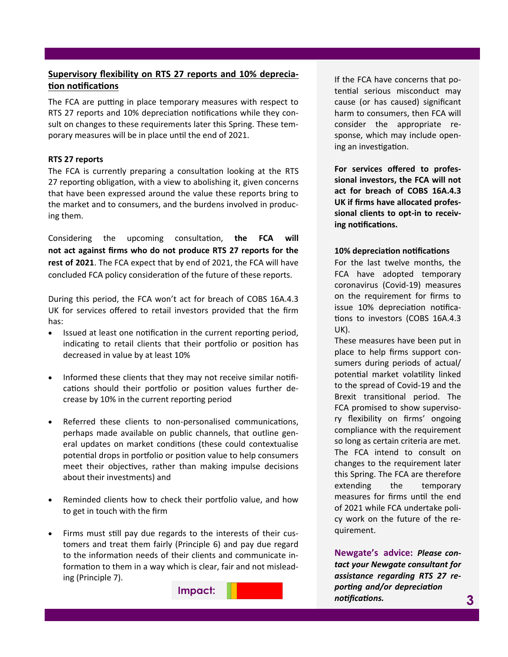# **Supervisory flexibility on RTS 27 reports and 10% depreciation notifications**

The FCA are putting in place temporary measures with respect to RTS 27 reports and 10% depreciation notifications while they consult on changes to these requirements later this Spring. These temporary measures will be in place until the end of 2021.

#### **RTS 27 reports**

The FCA is currently preparing a consultation looking at the RTS 27 reporting obligation, with a view to abolishing it, given concerns that have been expressed around the value these reports bring to the market and to consumers, and the burdens involved in producing them.

Considering the upcoming consultation, **the FCA will not act against firms who do not produce RTS 27 reports for the rest of 2021**. The FCA expect that by end of 2021, the FCA will have concluded FCA policy consideration of the future of these reports.

During this period, the FCA won't act for breach of COBS 16A.4.3 UK for services offered to retail investors provided that the firm has:

- Issued at least one notification in the current reporting period, indicating to retail clients that their portfolio or position has decreased in value by at least 10%
- Informed these clients that they may not receive similar notifications should their portfolio or position values further decrease by 10% in the current reporting period
- Referred these clients to non-personalised communications, perhaps made available on public channels, that outline general updates on market conditions (these could contextualise potential drops in portfolio or position value to help consumers meet their objectives, rather than making impulse decisions about their investments) and
- Reminded clients how to check their portfolio value, and how to get in touch with the firm
- Firms must still pay due regards to the interests of their customers and treat them fairly (Principle 6) and pay due regard to the information needs of their clients and communicate information to them in a way which is clear, fair and not misleading (Principle 7).

**Impact:**

If the FCA have concerns that potential serious misconduct may cause (or has caused) significant harm to consumers, then FCA will consider the appropriate response, which may include opening an investigation.

**For services offered to professional investors, the FCA will not act for breach of COBS 16A.4.3 UK if firms have allocated professional clients to opt-in to receiving notifications.**

#### **10% depreciation notifications**

For the last twelve months, the FCA have adopted temporary coronavirus (Covid-19) measures on the requirement for firms to issue 10% depreciation notifications to investors (COBS 16A.4.3 UK).

These measures have been put in place to help firms support consumers during periods of actual/ potential market volatility linked to the spread of Covid-19 and the Brexit transitional period. The FCA promised to show supervisory flexibility on firms' ongoing compliance with the requirement so long as certain criteria are met. The FCA intend to consult on changes to the requirement later this Spring. The FCA are therefore extending the temporary measures for firms until the end of 2021 while FCA undertake policy work on the future of the requirement.

**Newgate's advice:** *Please contact your Newgate consultant for assistance regarding RTS 27 reporting and/or depreciation notifications.* **3**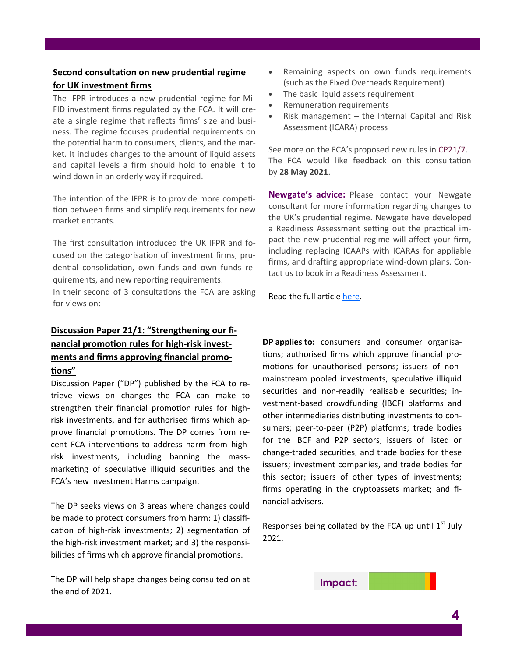## **Second consultation on new prudential regime for UK investment firms**

The IFPR introduces a new prudential regime for Mi-FID investment firms regulated by the FCA. It will create a single regime that reflects firms' size and business. The regime focuses prudential requirements on the potential harm to consumers, clients, and the market. It includes changes to the amount of liquid assets and capital levels a firm should hold to enable it to wind down in an orderly way if required.

The intention of the IFPR is to provide more competition between firms and simplify requirements for new market entrants.

The first consultation introduced the UK IFPR and focused on the categorisation of investment firms, prudential consolidation, own funds and own funds requirements, and new reporting requirements.

In their second of 3 consultations the FCA are asking for views on:

# **Discussion Paper 21/1: "Strengthening our financial promotion rules for high-risk investments and firms approving financial promotions"**

Discussion Paper ("DP") published by the FCA to retrieve views on changes the FCA can make to strengthen their financial promotion rules for highrisk investments, and for authorised firms which approve financial promotions. The DP comes from recent FCA interventions to address harm from highrisk investments, including banning the massmarketing of speculative illiquid securities and the FCA's new Investment Harms campaign.

The DP seeks views on 3 areas where changes could be made to protect consumers from harm: 1) classification of high-risk investments; 2) segmentation of the high-risk investment market; and 3) the responsibilities of firms which approve financial promotions.

The DP will help shape changes being consulted on at the end of 2021.

- Remaining aspects on own funds requirements (such as the Fixed Overheads Requirement)
- The basic liquid assets requirement
- Remuneration requirements
- Risk management  $-$  the Internal Capital and Risk Assessment (ICARA) process

See more on the FCA's proposed new rules in [CP21/7.](https://www.fca.org.uk/publications/consultation-papers/cp21-7-new-uk-prudential-regime-mifid-investment-firms) The FCA would like feedback on this consultation by **28 May 2021**.

**Newgate's advice:** Please contact your Newgate consultant for more information regarding changes to the UK's prudential regime. Newgate have developed a Readiness Assessment setting out the practical impact the new prudential regime will affect your firm, including replacing ICAAPs with ICARAs for appliable firms, and drafting appropriate wind-down plans. Contact us to book in a Readiness Assessment.

Read the full article [here.](https://www.fca.org.uk/news/news-stories/second-consultation-new-prudential-regime-uk-investment-firms)

**DP applies to:** consumers and consumer organisations; authorised firms which approve financial promotions for unauthorised persons; issuers of nonmainstream pooled investments, speculative illiquid securities and non-readily realisable securities; investment-based crowdfunding (IBCF) platforms and other intermediaries distributing investments to consumers; peer-to-peer (P2P) platforms; trade bodies for the IBCF and P2P sectors; issuers of listed or change-traded securities, and trade bodies for these issuers; investment companies, and trade bodies for this sector; issuers of other types of investments; firms operating in the cryptoassets market; and financial advisers.

Responses being collated by the FCA up until  $1<sup>st</sup>$  July 2021.

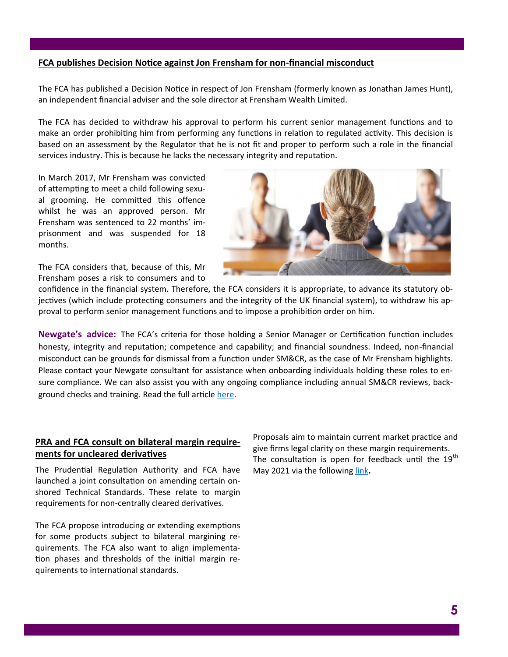#### **FCA publishes Decision Notice against Jon Frensham for non-financial misconduct**

The FCA has published a Decision Notice in respect of Jon Frensham (formerly known as Jonathan James Hunt), an independent financial adviser and the sole director at Frensham Wealth Limited.

The FCA has decided to withdraw his approval to perform his current senior management functions and to make an order prohibiting him from performing any functions in relation to regulated activity. This decision is based on an assessment by the Regulator that he is not fit and proper to perform such a role in the financial services industry. This is because he lacks the necessary integrity and reputation.

In March 2017, Mr Frensham was convicted of attempting to meet a child following sexual grooming. He committed this offence whilst he was an approved person. Mr Frensham was sentenced to 22 months' imprisonment and was suspended for 18 months.

The FCA considers that, because of this, Mr Frensham poses a risk to consumers and to

confidence in the financial system. Therefore, the FCA considers it is appropriate, to advance its statutory objectives (which include protecting consumers and the integrity of the UK financial system), to withdraw his approval to perform senior management functions and to impose a prohibition order on him.

**Newgate's advice:** The FCA's criteria for those holding a Senior Manager or Certification function includes honesty, integrity and reputation; competence and capability; and financial soundness. Indeed, non-financial misconduct can be grounds for dismissal from a function under SM&CR, as the case of Mr Frensham highlights. Please contact your Newgate consultant for assistance when onboarding individuals holding these roles to ensure compliance. We can also assist you with any ongoing compliance including annual SM&CR reviews, background checks and training. Read the full article [here.](https://www.fca.org.uk/news/press-releases/fca-publishes-decision-notice-against-jon-frensham-non-financial-misconduct)

## **PRA and FCA consult on bilateral margin requirements for uncleared derivatives**

The Prudential Regulation Authority and FCA have launched a joint consultation on amending certain onshored Technical Standards. These relate to margin requirements for non-centrally cleared derivatives.

The FCA propose introducing or extending exemptions for some products subject to bilateral margining requirements. The FCA also want to align implementation phases and thresholds of the initial margin requirements to international standards.

Proposals aim to maintain current market practice and give firms legal clarity on these margin requirements. The consultation is open for feedback until the  $19<sup>th</sup>$ May 2021 via the following [link](https://www.fca.org.uk/news/statements/pra-fca-consult-bilateral-margin-requirements-uncleared-derivatives)**.**